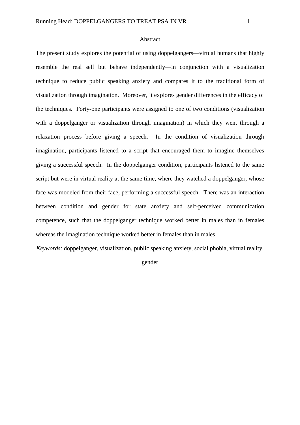The present study explores the potential of using doppelgangers—virtual humans that highly resemble the real self but behave independently—in conjunction with a visualization technique to reduce public speaking anxiety and compares it to the traditional form of visualization through imagination. Moreover, it explores gender differences in the efficacy of the techniques. Forty-one participants were assigned to one of two conditions (visualization with a doppelganger or visualization through imagination) in which they went through a relaxation process before giving a speech. In the condition of visualization through imagination, participants listened to a script that encouraged them to imagine themselves giving a successful speech. In the doppelganger condition, participants listened to the same script but were in virtual reality at the same time, where they watched a doppelganger, whose face was modeled from their face, performing a successful speech. There was an interaction between condition and gender for state anxiety and self-perceived communication competence, such that the doppelganger technique worked better in males than in females whereas the imagination technique worked better in females than in males.

*Keywords:* doppelganger, visualization, public speaking anxiety, social phobia, virtual reality,

gender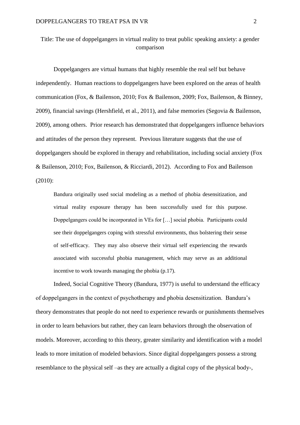# Title: The use of doppelgangers in virtual reality to treat public speaking anxiety: a gender comparison

Doppelgangers are virtual humans that highly resemble the real self but behave independently. Human reactions to doppelgangers have been explored on the areas of health communication (Fox, & Bailenson, 2010; Fox & Bailenson, 2009; Fox, Bailenson, & Binney, 2009), financial savings (Hershfield, et al., 2011), and false memories (Segovia & Bailenson, 2009), among others. Prior research has demonstrated that doppelgangers influence behaviors and attitudes of the person they represent. Previous literature suggests that the use of doppelgangers should be explored in therapy and rehabilitation, including social anxiety (Fox & Bailenson, 2010; Fox, Bailenson, & Ricciardi, 2012). According to Fox and Bailenson (2010):

Bandura originally used social modeling as a method of phobia desensitization, and virtual reality exposure therapy has been successfully used for this purpose. Doppelgangers could be incorporated in VEs for […] social phobia. Participants could see their doppelgangers coping with stressful environments, thus bolstering their sense of self-efficacy. They may also observe their virtual self experiencing the rewards associated with successful phobia management, which may serve as an additional incentive to work towards managing the phobia (p.17).

Indeed, Social Cognitive Theory (Bandura, 1977) is useful to understand the efficacy of doppelgangers in the context of psychotherapy and phobia desensitization. Bandura's theory demonstrates that people do not need to experience rewards or punishments themselves in order to learn behaviors but rather, they can learn behaviors through the observation of models. Moreover, according to this theory, greater similarity and identification with a model leads to more imitation of modeled behaviors. Since digital doppelgangers possess a strong resemblance to the physical self –as they are actually a digital copy of the physical body-,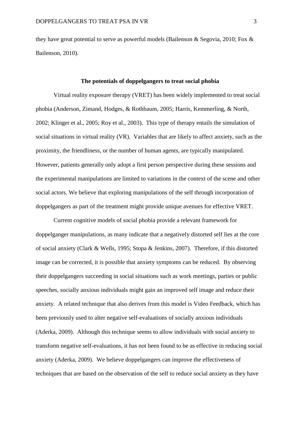they have great potential to serve as powerful models (Bailenson & Segovia, 2010; Fox & Bailenson, 2010).

# **The potentials of doppelgangers to treat social phobia**

Virtual reality exposure therapy (VRET) has been widely implemented to treat social phobia (Anderson, Zimand, Hodges, & Rothbaum, 2005; Harris, Kemmerling, & North, 2002; Klinger et al., 2005; Roy et al., 2003). This type of therapy entails the simulation of social situations in virtual reality (VR). Variables that are likely to affect anxiety, such as the proximity, the friendliness, or the number of human agents, are typically manipulated. However, patients generally only adopt a first person perspective during these sessions and the experimental manipulations are limited to variations in the context of the scene and other social actors. We believe that exploring manipulations of the self through incorporation of doppelgangers as part of the treatment might provide unique avenues for effective VRET.

Current cognitive models of social phobia provide a relevant framework for doppelganger manipulations, as many indicate that a negatively distorted self lies at the core of social anxiety (Clark & Wells, 1995; Stopa & Jenkins, 2007). Therefore, if this distorted image can be corrected, it is possible that anxiety symptoms can be reduced. By observing their doppelgangers succeeding in social situations such as work meetings, parties or public speeches, socially anxious individuals might gain an improved self image and reduce their anxiety. A related technique that also derives from this model is Video Feedback, which has been previously used to alter negative self-evaluations of socially anxious individuals (Aderka, 2009). Although this technique seems to allow individuals with social anxiety to transform negative self-evaluations, it has not been found to be as effective in reducing social anxiety (Aderka, 2009). We believe doppelgangers can improve the effectiveness of techniques that are based on the observation of the self to reduce social anxiety as they have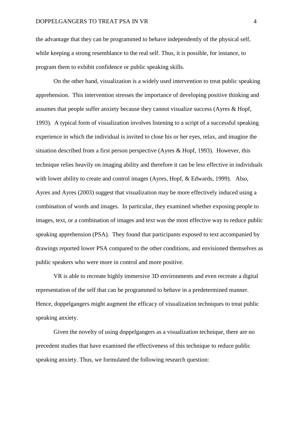the advantage that they can be programmed to behave independently of the physical self, while keeping a strong resemblance to the real self. Thus, it is possible, for instance, to program them to exhibit confidence or public speaking skills.

On the other hand, visualization is a widely used intervention to treat public speaking apprehension. This intervention stresses the importance of developing positive thinking and assumes that people suffer anxiety because they cannot visualize success (Ayres & Hopf, 1993). A typical form of visualization involves listening to a script of a successful speaking experience in which the individual is invited to close his or her eyes, relax, and imagine the situation described from a first person perspective (Ayres & Hopf, 1993). However, this technique relies heavily on imaging ability and therefore it can be less effective in individuals with lower ability to create and control images (Ayres, Hopf, & Edwards, 1999). Also, Ayres and Ayres (2003) suggest that visualization may be more effectively induced using a combination of words and images. In particular, they examined whether exposing people to images, text, or a combination of images and text was the most effective way to reduce public speaking apprehension (PSA). They found that participants exposed to text accompanied by drawings reported lower PSA compared to the other conditions, and envisioned themselves as public speakers who were more in control and more positive.

VR is able to recreate highly immersive 3D environments and even recreate a digital representation of the self that can be programmed to behave in a predetermined manner. Hence, doppelgangers might augment the efficacy of visualization techniques to treat public speaking anxiety.

Given the novelty of using doppelgangers as a visualization technique, there are no precedent studies that have examined the effectiveness of this technique to reduce public speaking anxiety. Thus, we formulated the following research question: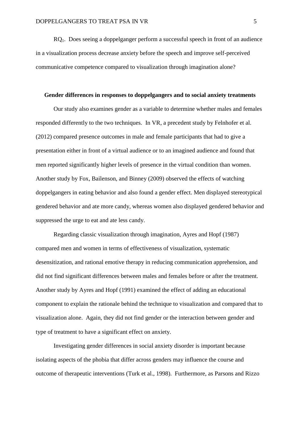RQ1. Does seeing a doppelganger perform a successful speech in front of an audience in a visualization process decrease anxiety before the speech and improve self-perceived communicative competence compared to visualization through imagination alone?

#### **Gender differences in responses to doppelgangers and to social anxiety treatments**

Our study also examines gender as a variable to determine whether males and females responded differently to the two techniques. In VR, a precedent study by Felnhofer et al. (2012) compared presence outcomes in male and female participants that had to give a presentation either in front of a virtual audience or to an imagined audience and found that men reported significantly higher levels of presence in the virtual condition than women. Another study by Fox, Bailenson, and Binney (2009) observed the effects of watching doppelgangers in eating behavior and also found a gender effect. Men displayed stereotypical gendered behavior and ate more candy, whereas women also displayed gendered behavior and suppressed the urge to eat and ate less candy.

Regarding classic visualization through imagination, Ayres and Hopf (1987) compared men and women in terms of effectiveness of visualization, systematic desensitization, and rational emotive therapy in reducing communication apprehension, and did not find significant differences between males and females before or after the treatment. Another study by Ayres and Hopf (1991) examined the effect of adding an educational component to explain the rationale behind the technique to visualization and compared that to visualization alone. Again, they did not find gender or the interaction between gender and type of treatment to have a significant effect on anxiety.

Investigating gender differences in social anxiety disorder is important because isolating aspects of the phobia that differ across genders may influence the course and outcome of therapeutic interventions (Turk et al., 1998). Furthermore, as Parsons and Rizzo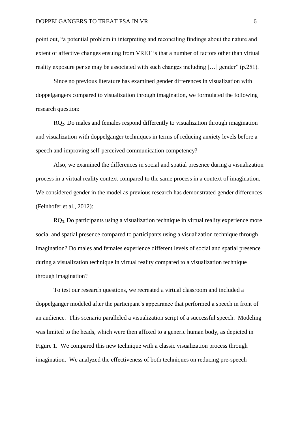point out, "a potential problem in interpreting and reconciling findings about the nature and extent of affective changes ensuing from VRET is that a number of factors other than virtual reality exposure per se may be associated with such changes including […] gender" (p.251).

Since no previous literature has examined gender differences in visualization with doppelgangers compared to visualization through imagination, we formulated the following research question:

RQ2. Do males and females respond differently to visualization through imagination and visualization with doppelganger techniques in terms of reducing anxiety levels before a speech and improving self-perceived communication competency?

Also, we examined the differences in social and spatial presence during a visualization process in a virtual reality context compared to the same process in a context of imagination. We considered gender in the model as previous research has demonstrated gender differences (Felnhofer et al., 2012):

RQ3. Do participants using a visualization technique in virtual reality experience more social and spatial presence compared to participants using a visualization technique through imagination? Do males and females experience different levels of social and spatial presence during a visualization technique in virtual reality compared to a visualization technique through imagination?

To test our research questions, we recreated a virtual classroom and included a doppelganger modeled after the participant's appearance that performed a speech in front of an audience. This scenario paralleled a visualization script of a successful speech. Modeling was limited to the heads, which were then affixed to a generic human body, as depicted in Figure 1. We compared this new technique with a classic visualization process through imagination. We analyzed the effectiveness of both techniques on reducing pre-speech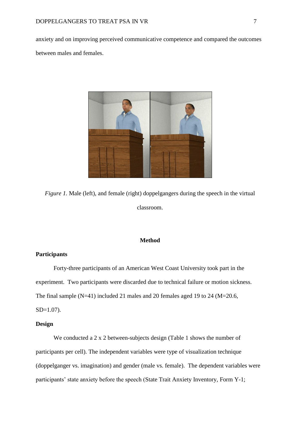anxiety and on improving perceived communicative competence and compared the outcomes between males and females.



*Figure 1.* Male (left), and female (right) doppelgangers during the speech in the virtual classroom.

## **Method**

## **Participants**

Forty-three participants of an American West Coast University took part in the experiment. Two participants were discarded due to technical failure or motion sickness. The final sample (N=41) included 21 males and 20 females aged 19 to 24 (M=20.6,

SD=1.07).

## **Design**

We conducted a 2 x 2 between-subjects design (Table 1 shows the number of participants per cell). The independent variables were type of visualization technique (doppelganger vs. imagination) and gender (male vs. female). The dependent variables were participants' state anxiety before the speech (State Trait Anxiety Inventory, Form Y-1;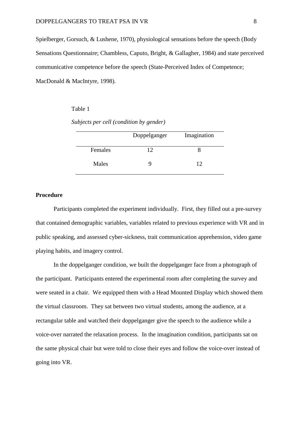Spielberger, Gorsuch, & Lushene, 1970), physiological sensations before the speech (Body Sensations Questionnaire; Chambless, Caputo, Bright, & Gallagher, 1984) and state perceived communicative competence before the speech (State-Perceived Index of Competence; MacDonald & MacIntyre, 1998).

#### Table 1

*Subjects per cell (condition by gender)*

|         | Doppelganger | Imagination |
|---------|--------------|-------------|
| Females | 12           |             |
| Males   |              | 12          |

#### **Procedure**

Participants completed the experiment individually. First, they filled out a pre-survey that contained demographic variables, variables related to previous experience with VR and in public speaking, and assessed cyber-sickness, trait communication apprehension, video game playing habits, and imagery control.

In the doppelganger condition, we built the doppelganger face from a photograph of the participant. Participants entered the experimental room after completing the survey and were seated in a chair. We equipped them with a Head Mounted Display which showed them the virtual classroom. They sat between two virtual students, among the audience, at a rectangular table and watched their doppelganger give the speech to the audience while a voice-over narrated the relaxation process. In the imagination condition, participants sat on the same physical chair but were told to close their eyes and follow the voice-over instead of going into VR.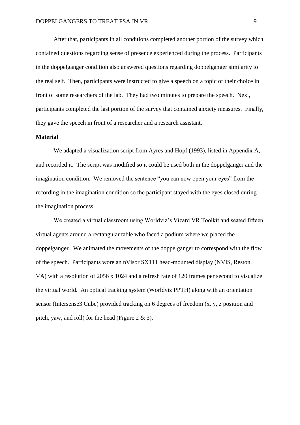After that, participants in all conditions completed another portion of the survey which contained questions regarding sense of presence experienced during the process. Participants in the doppelganger condition also answered questions regarding doppelganger similarity to the real self. Then, participants were instructed to give a speech on a topic of their choice in front of some researchers of the lab. They had two minutes to prepare the speech. Next, participants completed the last portion of the survey that contained anxiety measures. Finally, they gave the speech in front of a researcher and a research assistant.

#### **Material**

We adapted a visualization script from Ayres and Hopf (1993), listed in Appendix A, and recorded it. The script was modified so it could be used both in the doppelganger and the imagination condition. We removed the sentence "you can now open your eyes" from the recording in the imagination condition so the participant stayed with the eyes closed during the imagination process.

We created a virtual classroom using Worldviz's Vizard VR Toolkit and seated fifteen virtual agents around a rectangular table who faced a podium where we placed the doppelganger. We animated the movements of the doppelganger to correspond with the flow of the speech. Participants wore an nVisor SX111 head-mounted display (NVIS, Reston, VA) with a resolution of 2056 x 1024 and a refresh rate of 120 frames per second to visualize the virtual world. An optical tracking system (Worldviz PPTH) along with an orientation sensor (Intersense3 Cube) provided tracking on 6 degrees of freedom (x, y, z position and pitch, yaw, and roll) for the head (Figure  $2 \& 3$ ).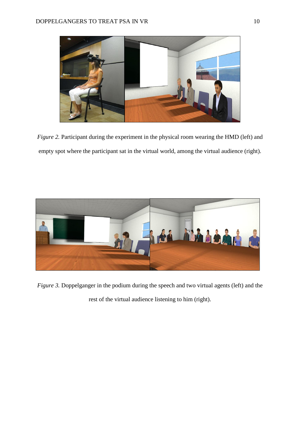

*Figure 2.* Participant during the experiment in the physical room wearing the HMD (left) and empty spot where the participant sat in the virtual world, among the virtual audience (right).



*Figure 3.* Doppelganger in the podium during the speech and two virtual agents (left) and the rest of the virtual audience listening to him (right).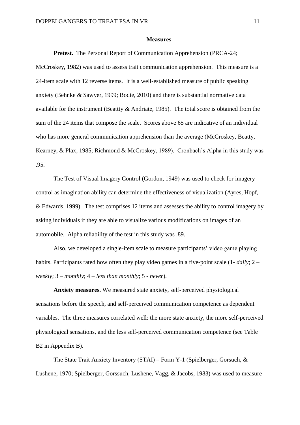#### **Measures**

**Pretest.** The Personal Report of Communication Apprehension (PRCA-24;

McCroskey, 1982) was used to assess trait communication apprehension. This measure is a 24-item scale with 12 reverse items. It is a well-established measure of public speaking anxiety (Behnke & Sawyer, 1999; Bodie, 2010) and there is substantial normative data available for the instrument (Beattty  $\&$  Andriate, 1985). The total score is obtained from the sum of the 24 items that compose the scale. Scores above 65 are indicative of an individual who has more general communication apprehension than the average (McCroskey, Beatty, Kearney, & Plax, 1985; Richmond & McCroskey, 1989). Cronbach's Alpha in this study was .95.

The Test of Visual Imagery Control (Gordon, 1949) was used to check for imagery control as imagination ability can determine the effectiveness of visualization (Ayres, Hopf, & Edwards, 1999). The test comprises 12 items and assesses the ability to control imagery by asking individuals if they are able to visualize various modifications on images of an automobile. Alpha reliability of the test in this study was .89.

Also, we developed a single-item scale to measure participants' video game playing habits. Participants rated how often they play video games in a five-point scale (1- *daily*; 2 – *weekly*; 3 – *monthly*; 4 – *less than monthly*; 5 - *never*).

**Anxiety measures.** We measured state anxiety, self-perceived physiological sensations before the speech, and self-perceived communication competence as dependent variables. The three measures correlated well: the more state anxiety, the more self-perceived physiological sensations, and the less self-perceived communication competence (see Table B<sub>2</sub> in Appendix B).

The State Trait Anxiety Inventory (STAI) – Form Y-1 (Spielberger, Gorsuch, & Lushene, 1970; Spielberger, Gorssuch, Lushene, Vagg, & Jacobs, 1983) was used to measure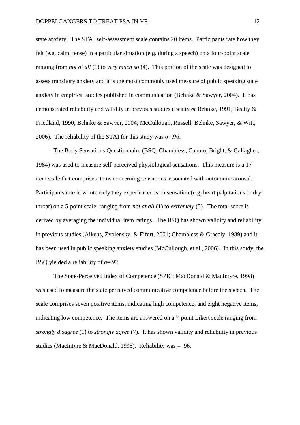state anxiety. The STAI self-assessment scale contains 20 items. Participants rate how they felt (e.g. calm, tense) in a particular situation (e.g. during a speech) on a four-point scale ranging from *not at all* (1) to *very much so* (4). This portion of the scale was designed to assess transitory anxiety and it is the most commonly used measure of public speaking state anxiety in empirical studies published in communication (Behnke & Sawyer, 2004). It has demonstrated reliability and validity in previous studies (Beatty & Behnke, 1991; Beatty & Friedland, 1990; Behnke & Sawyer, 2004; McCullough, Russell, Behnke, Sawyer, & Witt, 2006). The reliability of the STAI for this study was  $\alpha = 0.96$ .

The Body Sensations Questionnaire (BSQ; Chambless, Caputo, Bright, & Gallagher, 1984) was used to measure self-perceived physiological sensations. This measure is a 17 item scale that comprises items concerning sensations associated with autonomic arousal. Participants rate how intensely they experienced each sensation (e.g. heart palpitations or dry throat) on a 5-point scale, ranging from *not at all* (1) to *extremely* (5). The total score is derived by averaging the individual item ratings. The BSQ has shown validity and reliability in previous studies (Aikens, Zvolensky, & Eifert, 2001; Chambless & Gracely, 1989) and it has been used in public speaking anxiety studies (McCullough, et al., 2006). In this study, the BSQ yielded a reliability of  $\alpha$ =.92.

The State-Perceived Index of Competence (SPIC; MacDonald & MacIntyre, 1998) was used to measure the state perceived communicative competence before the speech. The scale comprises seven positive items, indicating high competence, and eight negative items, indicating low competence. The items are answered on a 7-point Likert scale ranging from *strongly disagree* (1) to *strongly agree* (7). It has shown validity and reliability in previous studies (MacIntyre & MacDonald, 1998). Reliability was = .96.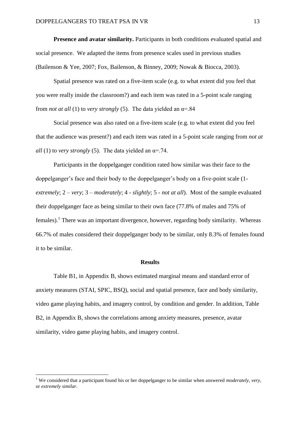**Presence and avatar similarity.** Participants in both conditions evaluated spatial and social presence. We adapted the items from presence scales used in previous studies (Bailenson & Yee, 2007; Fox, Bailenson, & Binney, 2009; Nowak & Biocca, 2003).

Spatial presence was rated on a five-item scale (e.g. to what extent did you feel that you were really inside the classroom?) and each item was rated in a 5-point scale ranging from *not at all* (1) to *very strongly* (5). The data yielded an α=.84

Social presence was also rated on a five-item scale (e.g. to what extent did you feel that the audience was present?) and each item was rated in a 5-point scale ranging from *not at all* (1) to *very strongly* (5). The data yielded an  $\alpha = 74$ .

Participants in the doppelganger condition rated how similar was their face to the doppelganger's face and their body to the doppelganger's body on a five-point scale (1 *extremely*; 2 – *very*; 3 – *moderately*; 4 - *slightly*; 5 - *not at all*). Most of the sample evaluated their doppelganger face as being similar to their own face (77.8% of males and 75% of females).<sup>1</sup> There was an important divergence, however, regarding body similarity. Whereas 66.7% of males considered their doppelganger body to be similar, only 8.3% of females found it to be similar.

## **Results**

Table B1, in Appendix B, shows estimated marginal means and standard error of anxiety measures (STAI, SPIC, BSQ), social and spatial presence, face and body similarity, video game playing habits, and imagery control, by condition and gender. In addition, Table B2, in Appendix B, shows the correlations among anxiety measures, presence, avatar similarity, video game playing habits, and imagery control.

÷

<sup>1</sup> We considered that a participant found his or her doppelganger to be similar when answered *moderately*, *very*, or *extremely similar*.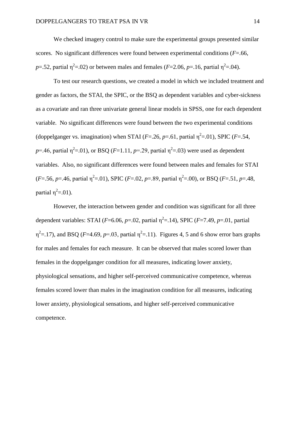We checked imagery control to make sure the experimental groups presented similar scores. No significant differences were found between experimental conditions (*F*=.66, *p*=.52, partial  $\eta^2$ =.02) or between males and females (*F*=2.06, *p*=.16, partial  $\eta^2$ =.04).

To test our research questions, we created a model in which we included treatment and gender as factors, the STAI, the SPIC, or the BSQ as dependent variables and cyber-sickness as a covariate and ran three univariate general linear models in SPSS, one for each dependent variable. No significant differences were found between the two experimental conditions (doppelganger vs. imagination) when STAI ( $F = 26$ ,  $p = 61$ , partial  $\eta^2 = 01$ ), SPIC ( $F = 54$ ,  $p=$ .46, partial  $\eta^2$ =.01), or BSQ (*F*=1.11, *p*=.29, partial  $\eta^2$ =.03) were used as dependent variables. Also, no significant differences were found between males and females for STAI  $(F= .56, p= .46,$  partial  $\eta^2 = .01$ ), SPIC ( $F= .02, p= .89$ , partial  $\eta^2 = .00$ ), or BSQ ( $F= .51, p= .48,$ partial  $η<sup>2</sup>=.01$ ).

However, the interaction between gender and condition was significant for all three dependent variables: STAI ( $F=6.06$ ,  $p=.02$ , partial  $\eta^2=.14$ ), SPIC ( $F=7.49$ ,  $p=.01$ , partial  $\eta^2$ =.17), and BSQ (*F*=4.69, *p*=.03, partial  $\eta^2$ =.11). Figures 4, 5 and 6 show error bars graphs for males and females for each measure. It can be observed that males scored lower than females in the doppelganger condition for all measures, indicating lower anxiety, physiological sensations, and higher self-perceived communicative competence, whereas females scored lower than males in the imagination condition for all measures, indicating lower anxiety, physiological sensations, and higher self-perceived communicative competence.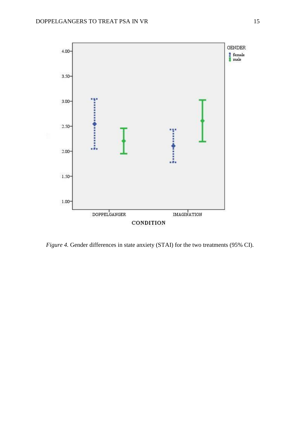

*Figure 4.* Gender differences in state anxiety (STAI) for the two treatments (95% CI).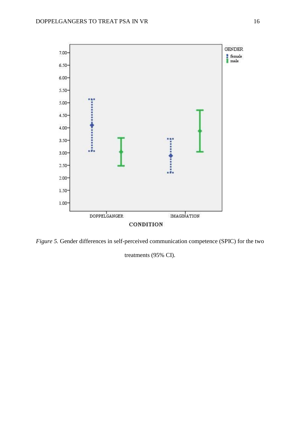

*Figure 5.* Gender differences in self-perceived communication competence (SPIC) for the two

treatments (95% CI).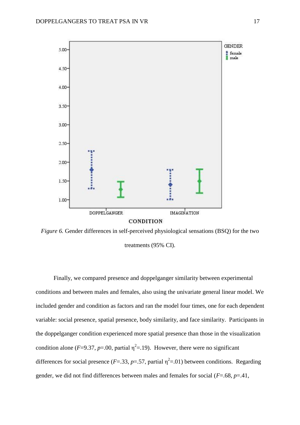

*Figure 6.* Gender differences in self-perceived physiological sensations (BSQ) for the two treatments (95% CI).

Finally, we compared presence and doppelganger similarity between experimental conditions and between males and females, also using the univariate general linear model. We included gender and condition as factors and ran the model four times, one for each dependent variable: social presence, spatial presence, body similarity, and face similarity. Participants in the doppelganger condition experienced more spatial presence than those in the visualization condition alone ( $F=9.37$ ,  $p=.00$ , partial  $\eta^2=.19$ ). However, there were no significant differences for social presence ( $F = .33$ ,  $p = .57$ , partial  $\eta^2 = .01$ ) between conditions. Regarding gender, we did not find differences between males and females for social (*F*=.68, *p*=.41,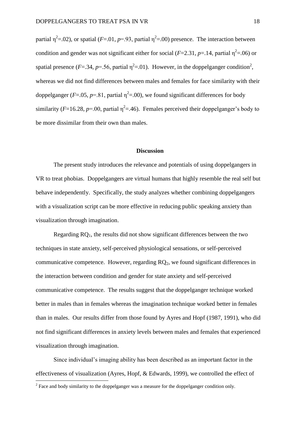partial  $\eta^2$ =.02), or spatial (*F*=.01, *p*=.93, partial  $\eta^2$ =.00) presence. The interaction between condition and gender was not significant either for social ( $F=2.31$ ,  $p=.14$ , partial  $\eta^2=.06$ ) or spatial presence ( $F = .34$ ,  $p = .56$ , partial  $\eta^2 = .01$ ). However, in the doppelganger condition<sup>2</sup>, whereas we did not find differences between males and females for face similarity with their doppelganger ( $F = .05$ ,  $p = .81$ , partial  $\eta^2 = .00$ ), we found significant differences for body similarity ( $F=16.28$ ,  $p=.00$ , partial  $\eta^2=.46$ ). Females perceived their doppelganger's body to be more dissimilar from their own than males.

#### **Discussion**

The present study introduces the relevance and potentials of using doppelgangers in VR to treat phobias. Doppelgangers are virtual humans that highly resemble the real self but behave independently. Specifically, the study analyzes whether combining doppelgangers with a visualization script can be more effective in reducing public speaking anxiety than visualization through imagination.

Regarding  $RQ_1$ , the results did not show significant differences between the two techniques in state anxiety, self-perceived physiological sensations, or self-perceived communicative competence. However, regarding  $RQ_2$ , we found significant differences in the interaction between condition and gender for state anxiety and self-perceived communicative competence. The results suggest that the doppelganger technique worked better in males than in females whereas the imagination technique worked better in females than in males. Our results differ from those found by Ayres and Hopf (1987, 1991), who did not find significant differences in anxiety levels between males and females that experienced visualization through imagination.

Since individual's imaging ability has been described as an important factor in the effectiveness of visualization (Ayres, Hopf, & Edwards, 1999), we controlled the effect of

 $2^2$  Face and body similarity to the doppelganger was a measure for the doppelganger condition only.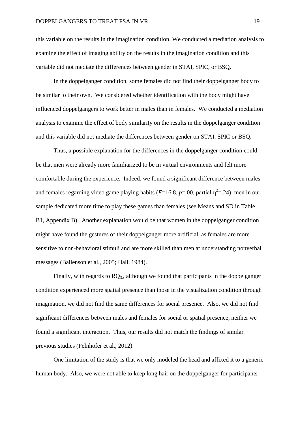this variable on the results in the imagination condition. We conducted a mediation analysis to examine the effect of imaging ability on the results in the imagination condition and this variable did not mediate the differences between gender in STAI, SPIC, or BSQ.

In the doppelganger condition, some females did not find their doppelganger body to be similar to their own. We considered whether identification with the body might have influenced doppelgangers to work better in males than in females. We conducted a mediation analysis to examine the effect of body similarity on the results in the doppelganger condition and this variable did not mediate the differences between gender on STAI, SPIC or BSQ.

Thus, a possible explanation for the differences in the doppelganger condition could be that men were already more familiarized to be in virtual environments and felt more comfortable during the experience. Indeed, we found a significant difference between males and females regarding video game playing habits ( $F=16.8$ ,  $p=.00$ , partial  $\eta^2=.24$ ), men in our sample dedicated more time to play these games than females (see Means and SD in Table B1, Appendix B). Another explanation would be that women in the doppelganger condition might have found the gestures of their doppelganger more artificial, as females are more sensitive to non-behavioral stimuli and are more skilled than men at understanding nonverbal messages (Bailenson et al., 2005; Hall, 1984).

Finally, with regards to  $RQ_3$ , although we found that participants in the doppelganger condition experienced more spatial presence than those in the visualization condition through imagination, we did not find the same differences for social presence. Also, we did not find significant differences between males and females for social or spatial presence, neither we found a significant interaction. Thus, our results did not match the findings of similar previous studies (Felnhofer et al., 2012).

One limitation of the study is that we only modeled the head and affixed it to a generic human body. Also, we were not able to keep long hair on the doppelganger for participants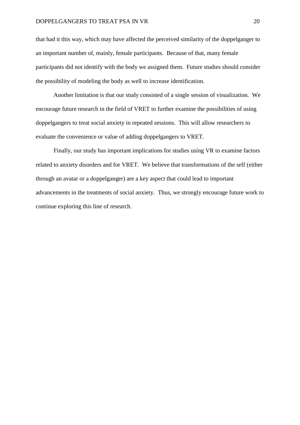that had it this way, which may have affected the perceived similarity of the doppelganger to an important number of, mainly, female participants. Because of that, many female participants did not identify with the body we assigned them. Future studies should consider the possibility of modeling the body as well to increase identification.

Another limitation is that our study consisted of a single session of visualization. We encourage future research in the field of VRET to further examine the possibilities of using doppelgangers to treat social anxiety in repeated sessions. This will allow researchers to evaluate the convenience or value of adding doppelgangers to VRET.

Finally, our study has important implications for studies using VR to examine factors related to anxiety disorders and for VRET. We believe that transformations of the self (either through an avatar or a doppelganger) are a key aspect that could lead to important advancements in the treatments of social anxiety. Thus, we strongly encourage future work to continue exploring this line of research.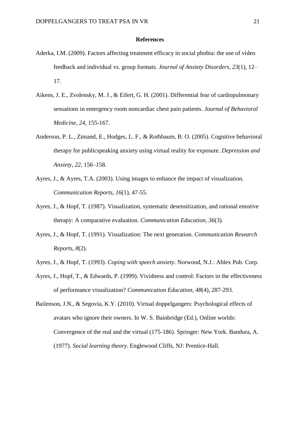#### **References**

- Aderka, I.M. (2009). Factors affecting treatment efficacy in social phobia: the use of video feedback and individual vs. group formats. *Journal of Anxiety Disorders, 23*(1), 12– 17.
- Aikens, J. E., Zvolensky, M. J., & Eifert, G. H. (2001). Differential fear of cardiopulmonary sensations in emergency room noncardiac chest pain patients. *Journal of Behavioral Medicine, 24*, 155-167.
- Anderson, P. L., Zimand, E., Hodges, L. F., & Rothbaum, B. O. (2005). Cognitive behavioral therapy for publicspeaking anxiety using virtual reality for exposure. *Depression and Anxiety, 22,* 156–158.
- Ayres, J., & Ayres, T.A. (2003). Using images to enhance the impact of visualization. *Communication Reports, 16*(1), 47-55.
- Ayres, J., & Hopf, T. (1987). Visualization, systematic desensitization, and rational emotive therapy: A comparative evaluation. *Communication Education, 36*(3).
- Ayres, J., & Hopf, T. (1991). Visualization: The next generation. *Communication Research Reports, 8*(2).
- Ayres, J., & Hopf, T. (1993). *Coping with speech anxiety*. Norwood, N.J.: Ablex Pub. Corp.
- Ayres, J., Hopf, T., & Edwards, P. (1999). Vividness and control: Factors in the effectiveness of performance visualization? *Communication Education, 48*(4), 287-293.
- Bailenson, J.N., & Segovia, K.Y. (2010). Virtual doppelgangers: Psychological effects of avatars who ignore their owners. In W. S. Bainbridge (Ed.), Online worlds: Convergence of the real and the virtual (175-186). Springer: New York. Bandura, A. (1977). *Social learning theory*. Englewood Cliffs, NJ: Prentice-Hall.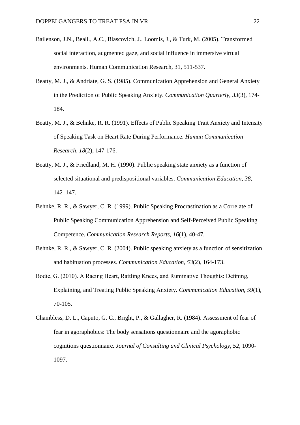- Bailenson, J.N., Beall., A.C., Blascovich, J., Loomis, J., & Turk, M. (2005). Transformed social interaction, augmented gaze, and social influence in immersive virtual environments. Human Communication Research, 31, 511-537.
- Beatty, M. J., & Andriate, G. S. (1985). Communication Apprehension and General Anxiety in the Prediction of Public Speaking Anxiety. *Communication Quarterly, 33*(3), 174- 184.
- Beatty, M. J., & Behnke, R. R. (1991). Effects of Public Speaking Trait Anxiety and Intensity of Speaking Task on Heart Rate During Performance. *Human Communication Research, 18*(2), 147-176.
- Beatty, M. J., & Friedland, M. H. (1990). Public speaking state anxiety as a function of selected situational and predispositional variables. *Communication Education, 38*, 142–147.
- Behnke, R. R., & Sawyer, C. R. (1999). Public Speaking Procrastination as a Correlate of Public Speaking Communication Apprehension and Self-Perceived Public Speaking Competence. *Communication Research Reports, 16*(1), 40-47.
- Behnke, R. R., & Sawyer, C. R. (2004). Public speaking anxiety as a function of sensitization and habituation processes. *Communication Education, 53*(2), 164-173.
- Bodie, G. (2010). A Racing Heart, Rattling Knees, and Ruminative Thoughts: Defining, Explaining, and Treating Public Speaking Anxiety. *Communication Education, 59*(1), 70-105.
- Chambless, D. L., Caputo, G. C., Bright, P., & Gallagher, R. (1984). Assessment of fear of fear in agoraphobics: The body sensations questionnaire and the agoraphobic cognitions questionnaire. *Journal of Consulting and Clinical Psychology, 52*, 1090- 1097.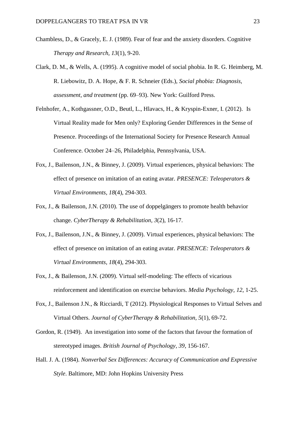- Chambless, D., & Gracely, E. J. (1989). Fear of fear and the anxiety disorders. Cognitive *Therapy and Research, 13*(1), 9-20.
- Clark, D. M., & Wells, A. (1995). A cognitive model of social phobia. In R. G. Heimberg, M. R. Liebowitz, D. A. Hope, & F. R. Schneier (Eds.), *Social phobia: Diagnosis, assessment, and treatment* (pp. 69–93). New York: Guilford Press.
- Felnhofer, A., Kothgassner, O.D., Beutl, L., Hlavacs, H., & Kryspin-Exner, I. (2012). Is Virtual Reality made for Men only? Exploring Gender Differences in the Sense of Presence. Proceedings of the International Society for Presence Research Annual Conference. October 24–26, Philadelphia, Pennsylvania, USA.
- Fox, J., Bailenson, J.N., & Binney, J. (2009). Virtual experiences, physical behaviors: The effect of presence on imitation of an eating avatar. *PRESENCE: Teleoperators & Virtual Environments, 18*(4), 294-303.
- Fox, J., & Bailenson, J.N. (2010). The use of doppelgängers to promote health behavior change. *CyberTherapy & Rehabilitation, 3*(2), 16-17.
- Fox, J., Bailenson, J.N., & Binney, J. (2009). Virtual experiences, physical behaviors: The effect of presence on imitation of an eating avatar. *PRESENCE: Teleoperators & Virtual Environments, 18*(4), 294-303.
- Fox, J., & Bailenson, J.N. (2009). Virtual self-modeling: The effects of vicarious reinforcement and identification on exercise behaviors. *Media Psychology, 12*, 1-25.
- Fox, J., Bailenson J.N., & Ricciardi, T (2012). Physiological Responses to Virtual Selves and Virtual Others. *Journal of CyberTherapy & Rehabilitation, 5*(1), 69-72.
- Gordon, R. (1949). An investigation into some of the factors that favour the formation of stereotyped images. *British Journal of Psychology, 39*, 156-167.
- Hall. J. A. (1984). *Nonverbal Sex Differences: Accuracy of Communication and Expressive Style*. Baltimore, MD: John Hopkins University Press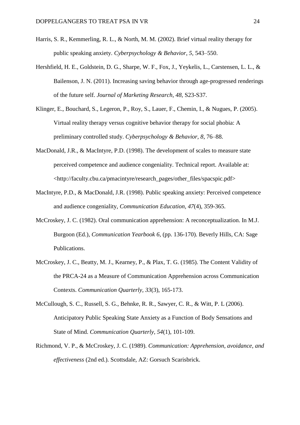- Harris, S. R., Kemmerling, R. L., & North, M. M. (2002). Brief virtual reality therapy for public speaking anxiety. *Cyberpsychology & Behavior, 5,* 543–550.
- Hershfield, H. E., Goldstein, D. G., Sharpe, W. F., Fox, J., Yeykelis, L., Carstensen, L. L., & Bailenson, J. N. (2011). Increasing saving behavior through age-progressed renderings of the future self. *Journal of Marketing Research, 48,* S23-S37.
- Klinger, E., Bouchard, S., Legeron, P., Roy, S., Lauer, F., Chemin, I., & Nugues, P. (2005). Virtual reality therapy versus cognitive behavior therapy for social phobia: A preliminary controlled study. *Cyberpsychology & Behavior, 8*, 76–88.
- MacDonald, J.R., & MacIntyre, P.D. (1998). The development of scales to measure state perceived competence and audience congeniality. Technical report. Available at: <http://faculty.cbu.ca/pmacintyre/research\_pages/other\_files/spacspic.pdf>
- MacIntyre, P.D., & MacDonald, J.R. (1998). Public speaking anxiety: Perceived competence and audience congeniality, *Communication Education, 47*(4), 359-365.
- McCroskey, J. C. (1982). Oral communication apprehension: A reconceptualization. In M.J. Burgoon (Ed.), *Communication Yearbook 6*, (pp. 136-170). Beverly Hills, CA: Sage Publications.
- McCroskey, J. C., Beatty, M. J., Kearney, P., & Plax, T. G. (1985). The Content Validity of the PRCA-24 as a Measure of Communication Apprehension across Communication Contexts. *Communication Quarterly, 33*(3), 165-173.
- McCullough, S. C., Russell, S. G., Behnke, R. R., Sawyer, C. R., & Witt, P. L (2006). Anticipatory Public Speaking State Anxiety as a Function of Body Sensations and State of Mind. *Communication Quarterly, 54*(1), 101-109.
- Richmond, V. P., & McCroskey, J. C. (1989). *Communication: Apprehension, avoidance, and effectiveness* (2nd ed.). Scottsdale, AZ: Gorsuch Scarisbrick.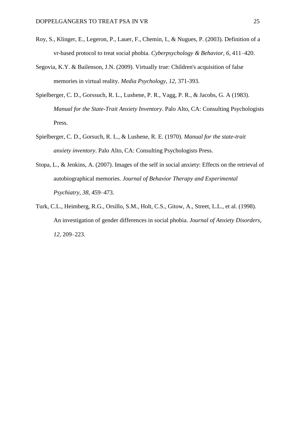- Roy, S., Klinger, E., Legeron, P., Lauer, F., Chemin, I., & Nugues, P. (2003). Definition of a vr-based protocol to treat social phobia. *Cyberpsychology & Behavior, 6*, 411–420.
- Segovia, K.Y. & Bailenson, J.N. (2009). Virtually true: Children's acquisition of false memories in virtual reality. *Media Psychology, 12*, 371-393.
- Spielberger, C. D., Gorssuch, R. L., Lushene, P. R., Vagg, P. R., & Jacobs, G. A (1983). *Manual for the State-Trait Anxiety Inventory*. Palo Alto, CA: Consulting Psychologists Press.
- Spielberger, C. D., Gorsuch, R. L., & Lushene, R. E. (1970). *Manual for the state-trait anxiety inventory*. Palo Alto, CA: Consulting Psychologists Press.
- Stopa, L., & Jenkins, A. (2007). Images of the self in social anxiety: Effects on the retrieval of autobiographical memories. *Journal of Behavior Therapy and Experimental Psychiatry, 38,* 459–473.
- Turk, C.L., Heimberg, R.G., Orsillo, S.M., Holt, C.S., Gitow, A., Street, L.L., et al. (1998). An investigation of gender differences in social phobia. *Journal of Anxiety Disorders, 12,* 209–223.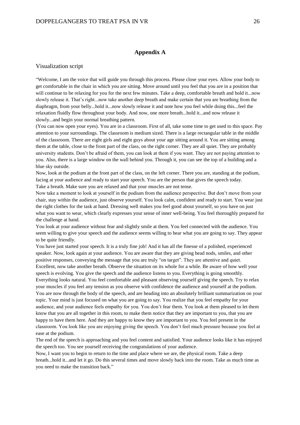#### **Appendix A**

#### Visualization script

"Welcome, I am the voice that will guide you through this process. Please close your eyes. Allow your body to get comfortable in the chair in which you are sitting. Move around until you feel that you are in a position that will continue to be relaxing for you for the next few minutes. Take a deep, comfortable breath and hold it...now slowly release it. That's right...now take another deep breath and make certain that you are breathing from the diaphragm, from your belly...hold it...now slowly release it and note how you feel while doing this...feel the relaxation fluidly flow throughout your body. And now, one more breath...hold it...and now release it slowly...and begin your normal breathing pattern.

(You can now open your eyes). You are in a classroom. First of all, take some time to get used to this space. Pay attention to your surroundings. The classroom is medium sized. There is a large rectangular table in the middle of the classroom. There are eight girls and eight guys about your age sitting around it. You are sitting among them at the table, close to the front part of the class, on the right corner. They are all quiet. They are probably university students. Don't be afraid of them, you can look at them if you want. They are not paying attention to you. Also, there is a large window on the wall behind you. Through it, you can see the top of a building and a blue sky outside.

Now, look at the podium at the front part of the class, on the left corner. There you are, standing at the podium, facing at your audience and ready to start your speech. You are the person that gives the speech today. Take a breath. Make sure you are relaxed and that your muscles are not tense.

Now take a moment to look at yourself in the podium from the audience perspective. But don't move from your chair, stay within the audience, just observe yourself. You look calm, confident and ready to start. You wear just the right clothes for the task at hand. Dressing well makes you feel good about yourself, so you have on just what you want to wear, which clearly expresses your sense of inner well-being. You feel thoroughly prepared for the challenge at hand.

You look at your audience without fear and slightly smile at them. You feel connected with the audience. You seem willing to give your speech and the audience seems willing to hear what you are going to say. They appear to be quite friendly.

You have just started your speech. It is a truly fine job! And it has all the finesse of a polished, experienced speaker. Now, look again at your audience. You are aware that they are giving head nods, smiles, and other positive responses, conveying the message that you are truly "on target". They are attentive and quiet. Excellent, now take another breath. Observe the situation on its whole for a while. Be aware of how well your speech is evolving. You give the speech and the audience listens to you. Everything is going smoothly. Everything looks natural. You feel comfortable and pleasant observing yourself giving the speech. Try to relax your muscles if you feel any tension as you observe with confidence the audience and yourself at the podium. You are now through the body of the speech, and are heading into an absolutely brilliant summarization on your topic. Your mind is just focused on what you are going to say. You realize that you feel empathy for your audience, and your audience feels empathy for you. You don't fear them. You look at them pleased to let them know that you are all together in this room, to make them notice that they are important to you, that you are happy to have them here. And they are happy to know they are important to you. You feel present in the classroom. You look like you are enjoying giving the speech. You don't feel much pressure because you feel at ease at the podium.

The end of the speech is approaching and you feel content and satisfied. Your audience looks like it has enjoyed the speech too. You see yourself receiving the congratulations of your audience.

Now, I want you to begin to return to the time and place where we are, the physical room. Take a deep breath...hold it...and let it go. Do this several times and move slowly back into the room. Take as much time as you need to make the transition back."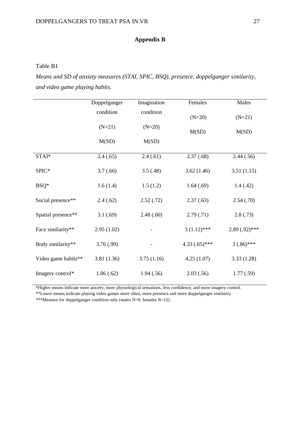# **Appendix B**

## Table B1

l.

*Means and SD of anxiety measures (STAI, SPIC, BSQ), presence, doppelganger similarity, and video game playing habits.*

|                     | Doppelganger | Imagination | Females         | Males            |
|---------------------|--------------|-------------|-----------------|------------------|
|                     | condition    | condition   | $(N=20)$        | $(N=21)$         |
|                     | $(N=21)$     | $(N=20)$    | M(SD)           | M(SD)            |
|                     | M(SD)        | M(SD)       |                 |                  |
| STAI*               | 2.4(.65)     | 2.4(.61)    | 2.37(.68)       | 2.44(.56)        |
| SPIC*               | 3.7(0.66)    | 3.5(.48)    | 3.62(1.46)      | 3.51(1.15)       |
| BSQ*                | 1.6(1.4)     | 1.5(1.2)    | 1.64(0.69)      | 1.4(0.42)        |
| Social presence**   | 2.4(.62)     | 2.52(.72)   | 2.37(.63)       | 2.54(.70)        |
| Spatial presence**  | 3.1(.69)     | 2.48(.60)   | 2.79(0.71)      | 2.8(0.73)        |
| Face similarity**   | 2.95(1.02)   |             | $3(1.12)$ ***   | $2.89(0.92)$ *** |
| Body similarity**   | 3.76(.99)    |             | $4.33(.65)$ *** | $3(.86)$ ***     |
| Video game habits** | 3.81 (1.36)  | 3.75(1.16)  | 4.25(1.07)      | 3.33(1.28)       |
| Imagery control*    | 1.86(.62)    | 1.94(.56)   | 2.03(.56)       | 1.77(.59)        |

\*Higher means indicate more anxiety, more physiological sensations, less confidence, and more imagery control.

\*\*Lower means indicate playing video games more often, more presence and more doppelganger similarity

\*\*\*Measure for doppelganger condition only (males N=9, females N=12).